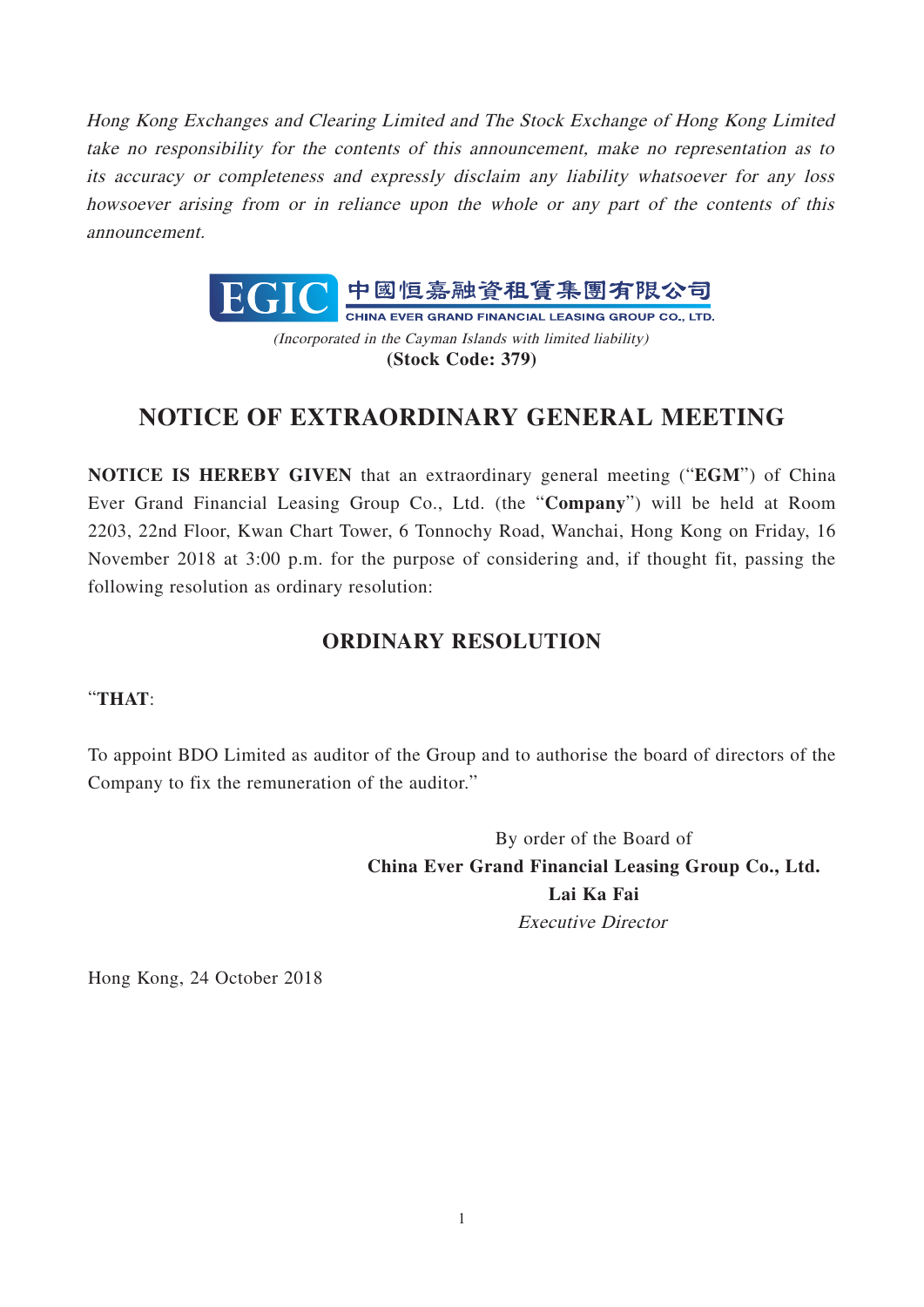Hong Kong Exchanges and Clearing Limited and The Stock Exchange of Hong Kong Limited take no responsibility for the contents of this announcement, make no representation as to its accuracy or completeness and expressly disclaim any liability whatsoever for any loss howsoever arising from or in reliance upon the whole or any part of the contents of this announcement.



(Incorporated in the Cayman Islands with limited liability) **(Stock Code: 379)**

## **NOTICE OF EXTRAORDINARY GENERAL MEETING**

**NOTICE IS HEREBY GIVEN** that an extraordinary general meeting ("**EGM**") of China Ever Grand Financial Leasing Group Co., Ltd. (the "**Company**") will be held at Room 2203, 22nd Floor, Kwan Chart Tower, 6 Tonnochy Road, Wanchai, Hong Kong on Friday, 16 November 2018 at 3:00 p.m. for the purpose of considering and, if thought fit, passing the following resolution as ordinary resolution:

## **ORDINARY RESOLUTION**

## "**THAT**:

To appoint BDO Limited as auditor of the Group and to authorise the board of directors of the Company to fix the remuneration of the auditor."

> By order of the Board of **China Ever Grand Financial Leasing Group Co., Ltd. Lai Ka Fai** Executive Director

Hong Kong, 24 October 2018